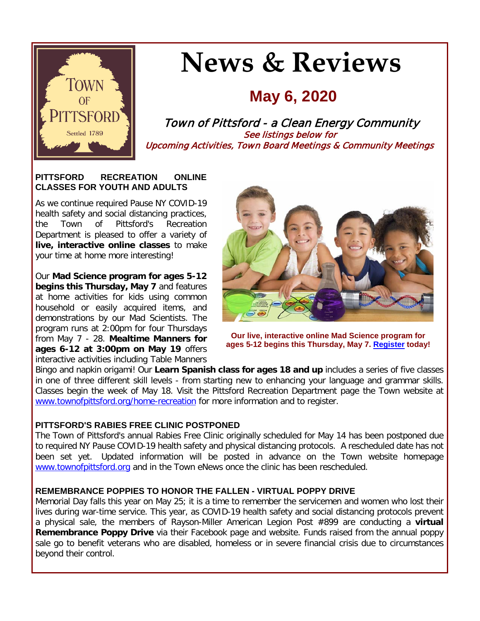

# **News & Reviews**

# **May 6, 2020**

Town of Pittsford - a Clean Energy Community See listings below for Upcoming Activities, Town Board Meetings & Community Meetings

#### **PITTSFORD RECREATION ONLINE CLASSES FOR YOUTH AND ADULTS**

As we continue required Pause NY COVID-19 health safety and social distancing practices, the Town of Pittsford's Recreation Department is pleased to offer a variety of **live, interactive online classes** to make your time at home more interesting!

Our **Mad Science program for ages 5-12 begins this Thursday, May 7** and features at home activities for kids using common household or easily acquired items, and demonstrations by our Mad Scientists. The program runs at 2:00pm for four Thursdays from May 7 - 28. **Mealtime Manners for ages 6-12 at 3:00pm on May 19** offers interactive activities including Table Manners



**Our live, interactive online Mad Science program for ages 5-12 begins this Thursday, May 7. [Register](http://r20.rs6.net/tn.jsp?f=001mZ2IIZu3K3EXk5NzhhDaSWIoF1AX0go2a-W_l08JqQX5P4HnFsxJ-qzkAzZ91GT6Ab5elx6TwFDgWig6pcqTW76hVnp8pj4XXtk0AmyxKTTEdMtUiYxHXQJJKW-s9QJGZtgvVm1XI-plcuWegwm6weMlTVhCAqXImW18cN5DnORIMsSdUHqqFbuYmr67BOUJ0gogpOTJ3gPf0IaoV3fOAqfY8OOzAKd4isVpuWZ9LIiOBvbsc3pTFaybGVaGXAIq5qHlegf2ECnAEWH-f2btsUlB_OdgrrdYF-PgpB4LxikM6tcSGnIhmDFgMO7gVMam&c=twTv6IoZKcDU5Iwr2PGu8MpaRUkh2EJ5zMff2seslHFtd2Juak69dw==&ch=Dlzk_R-1mOpOhdCl94LgTCBRvDV5R0h9nJAQBKvs7bA-cuAnWXUBqQ==) today!**

Bingo and napkin origami! Our **Learn Spanish class for ages 18 and up** includes a series of five classes in one of three different skill levels - from starting new to enhancing your language and grammar skills. Classes begin the week of May 18. Visit the Pittsford Recreation Department page the Town website at [www.townofpittsford.org/home-recreation](http://r20.rs6.net/tn.jsp?f=001mZ2IIZu3K3EXk5NzhhDaSWIoF1AX0go2a-W_l08JqQX5P4HnFsxJ-qzkAzZ91GT6Ab5elx6TwFDgWig6pcqTW76hVnp8pj4XXtk0AmyxKTTEdMtUiYxHXQJJKW-s9QJGZtgvVm1XI-plcuWegwm6weMlTVhCAqXImW18cN5DnORIMsSdUHqqFbuYmr67BOUJ0gogpOTJ3gPf0IaoV3fOAqfY8OOzAKd4isVpuWZ9LIiOBvbsc3pTFaybGVaGXAIq5qHlegf2ECnAEWH-f2btsUlB_OdgrrdYF-PgpB4LxikM6tcSGnIhmDFgMO7gVMam&c=twTv6IoZKcDU5Iwr2PGu8MpaRUkh2EJ5zMff2seslHFtd2Juak69dw==&ch=Dlzk_R-1mOpOhdCl94LgTCBRvDV5R0h9nJAQBKvs7bA-cuAnWXUBqQ==) for more information and to register.

#### **PITTSFORD'S RABIES FREE CLINIC POSTPONED**

The Town of Pittsford's annual Rabies Free Clinic originally scheduled for May 14 has been postponed due to required NY Pause COVID-19 health safety and physical distancing protocols. A rescheduled date has not been set yet. Updated information will be posted in advance on the Town website homepage [www.townofpittsford.org](http://r20.rs6.net/tn.jsp?f=001mZ2IIZu3K3EXk5NzhhDaSWIoF1AX0go2a-W_l08JqQX5P4HnFsxJ-rAgXIJtS8HLxEWgF75LkAysBlW0ia9pbCcitPcYaFSuDxBWVVbOcIQYW_GK59vvztIz4V9M_FRl59u7xcHe7cfaXT8MbrgvEXZdQgnfkB7RS9_NSq2iFYfYrtrWIsqnzG1QvQSMlzB0dpBHohwttGc1aYQrsORFpOS4-IL1ziDMhQlpjAVvIhlg1IGbP8VSvlGbuVcLFXFnvbPod30vllZGoGCoOu2qud2Z-6sgadX3xdjShw1RBs0=&c=twTv6IoZKcDU5Iwr2PGu8MpaRUkh2EJ5zMff2seslHFtd2Juak69dw==&ch=Dlzk_R-1mOpOhdCl94LgTCBRvDV5R0h9nJAQBKvs7bA-cuAnWXUBqQ==) and in the Town eNews once the clinic has been rescheduled.

#### **REMEMBRANCE POPPIES TO HONOR THE FALLEN - VIRTUAL POPPY DRIVE**

Memorial Day falls this year on May 25; it is a time to remember the servicemen and women who lost their lives during war-time service. This year, as COVID-19 health safety and social distancing protocols prevent a physical sale, the members of Rayson-Miller American Legion Post #899 are conducting a **virtual Remembrance Poppy Drive** via their Facebook page and website. Funds raised from the annual poppy sale go to benefit veterans who are disabled, homeless or in severe financial crisis due to circumstances beyond their control.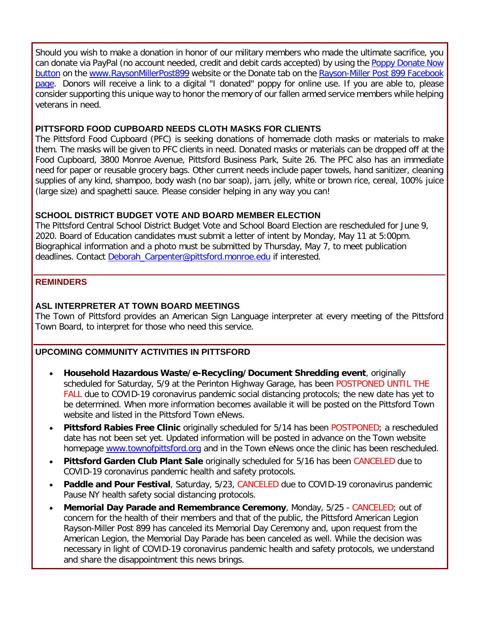Should you wish to make a donation in honor of our military members who made the ultimate sacrifice, you can donate via PayPal (no account needed, credit and debit cards accepted) by using the [Poppy Donate Now](https://www.paypal.com/donate/?token=FOVdPC9g_b_mfzOM_SZhS2MjoKajRb8_qwzcGp26UuGjkeOB2yu1xbZqMTDU7Iq1nJUYk0&country.x=US&locale.x=US)  [button](https://www.paypal.com/donate/?token=FOVdPC9g_b_mfzOM_SZhS2MjoKajRb8_qwzcGp26UuGjkeOB2yu1xbZqMTDU7Iq1nJUYk0&country.x=US&locale.x=US) on the [www.RaysonMillerPost899](http://r20.rs6.net/tn.jsp?f=001mZ2IIZu3K3EXk5NzhhDaSWIoF1AX0go2a-W_l08JqQX5P4HnFsxJ-nkf6loq-8Phed_OXgate2Dg60MjXNLJn_cA7WVFcwJGngmi-EDSU8tvYjlafaV7xs7tcnYEfUem861pDQjnLqElErcKTRAGRADrefgKwpwXY2v4fj0L-EM8DEl2On2ACJNUaoFr4g5tHi7v1zyqmlvVAb8FwMlAhljPCzabwwbpiuoWoCgKFBEiRo-7pEzU6D8bW4Zlg0xAAWNi_bwvN4AROTXc8DhrZZnR5XQEb2KoWTK0-1KjHBk=&c=twTv6IoZKcDU5Iwr2PGu8MpaRUkh2EJ5zMff2seslHFtd2Juak69dw==&ch=Dlzk_R-1mOpOhdCl94LgTCBRvDV5R0h9nJAQBKvs7bA-cuAnWXUBqQ==) website or the Donate tab on the Rayson-Miller Post 899 Facebook [page.](http://r20.rs6.net/tn.jsp?f=001mZ2IIZu3K3EXk5NzhhDaSWIoF1AX0go2a-W_l08JqQX5P4HnFsxJ-nkf6loq-8PhpABzHGJDyv_cYt5aVkjHOZwd4U9rWBJW5QpHbHGKMg2CNokKh1IfoW9m3ULXW8aJGL-0OfBFbYXPL6njEozwiEmFvDUsz_QpESQ4FxD12KLwwJzPMkTptA8tHOHZrRRX1PNTL2Kpy8U=&c=twTv6IoZKcDU5Iwr2PGu8MpaRUkh2EJ5zMff2seslHFtd2Juak69dw==&ch=Dlzk_R-1mOpOhdCl94LgTCBRvDV5R0h9nJAQBKvs7bA-cuAnWXUBqQ==) Donors will receive a link to a digital "I donated" poppy for online use. If you are able to, please consider supporting this unique way to honor the memory of our fallen armed service members while helping veterans in need.

#### **PITTSFORD FOOD CUPBOARD NEEDS CLOTH MASKS FOR CLIENTS**

The Pittsford Food Cupboard (PFC) is seeking donations of homemade cloth masks or materials to make them. The masks will be given to PFC clients in need. Donated masks or materials can be dropped off at the Food Cupboard, 3800 Monroe Avenue, Pittsford Business Park, Suite 26. The PFC also has an immediate need for paper or reusable grocery bags. Other current needs include paper towels, hand sanitizer, cleaning supplies of any kind, shampoo, body wash (no bar soap), jam, jelly, white or brown rice, cereal, 100% juice (large size) and spaghetti sauce. Please consider helping in any way you can!

#### **SCHOOL DISTRICT BUDGET VOTE AND BOARD MEMBER ELECTION**

The Pittsford Central School District Budget Vote and School Board Election are rescheduled for June 9, 2020. Board of Education candidates must submit a letter of intent by Monday, May 11 at 5:00pm. Biographical information and a photo must be submitted by Thursday, May 7, to meet publication deadlines. Contact [Deborah\\_Carpenter@pittsford.monroe.edu](mailto:deborah_carpenter@pittsford.monroe.edu?subject=Board%20of%20Education%20Candidate%20Submission) if interested.

#### **REMINDERS**

#### **ASL INTERPRETER AT TOWN BOARD MEETINGS**

The Town of Pittsford provides an American Sign Language interpreter at every meeting of the Pittsford Town Board, to interpret for those who need this service.

#### **UPCOMING COMMUNITY ACTIVITIES IN PITTSFORD**

- **Household Hazardous Waste/e-Recycling/Document Shredding event**, originally scheduled for Saturday, 5/9 at the Perinton Highway Garage, has been POSTPONED UNTIL THE FALL due to COVID-19 coronavirus pandemic social distancing protocols; the new date has yet to be determined. When more information becomes available it will be posted on the Pittsford Town website and listed in the Pittsford Town eNews.
- **Pittsford Rabies Free Clinic** originally scheduled for 5/14 has been POSTPONED; a rescheduled date has not been set yet. Updated information will be posted in advance on the Town website homepage [www.townofpittsford.org](http://www.townofpittsford.org/) and in the Town eNews once the clinic has been rescheduled.
- **Pittsford Garden Club Plant Sale** originally scheduled for 5/16 has been CANCELED due to COVID-19 coronavirus pandemic health and safety protocols.
- **Paddle and Pour Festival**, Saturday, 5/23, CANCELED due to COVID-19 coronavirus pandemic Pause NY health safety social distancing protocols.
- **Memorial Day Parade and Remembrance Ceremony**, Monday, 5/25 CANCELED; out of concern for the health of their members and that of the public, the Pittsford American Legion Rayson-Miller Post 899 has canceled its Memorial Day Ceremony and, upon request from the American Legion, the Memorial Day Parade has been canceled as well. While the decision was necessary in light of COVID-19 coronavirus pandemic health and safety protocols, we understand and share the disappointment this news brings.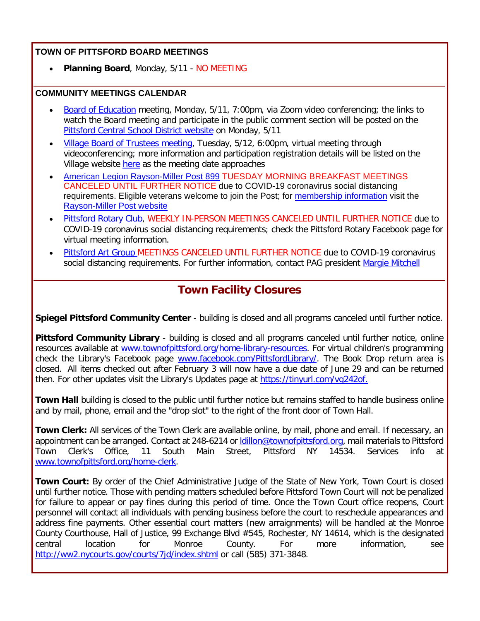#### **TOWN OF PITTSFORD BOARD MEETINGS**

• **Planning Board**, Monday, 5/11 - NO MEETING

#### **COMMUNITY MEETINGS CALENDAR**

- [Board of Education](http://r20.rs6.net/tn.jsp?f=001mZ2IIZu3K3EXk5NzhhDaSWIoF1AX0go2a-W_l08JqQX5P4HnFsxJ-rQrJDiIQjIFoXZPYMYH5n2aODhg_TQMij9FWfHOoH1BYsAHaMoc-qQj1f0UBwTPnat7nOcxk2OIZDtRfronbZmjQfrAKA5H71QmEqvm0bRgQy_Bedg7HHjkq6RedwNwDXxCxqd8O4uHTsTEXs7i_-2-860msW-ymOP6K8Q9nKTG2uGnW3gXoKNXebE8dBq44MQTfD22IlVrz1oHIWc7mGv_RSeJFAtmkSOBDK3DEer4PaXt1aeQ4G-F7e-R_hZ51oec7gyGwQTlkDtGfi4KUr2DkQtX5fZHhuCS4BOvHaxvet7CkhXsasnhjil0VgYwPe-JBm0MfwTsorCTgD-gX6Kk-ixmiUQ-iKNcr_vm1ro-&c=twTv6IoZKcDU5Iwr2PGu8MpaRUkh2EJ5zMff2seslHFtd2Juak69dw==&ch=Dlzk_R-1mOpOhdCl94LgTCBRvDV5R0h9nJAQBKvs7bA-cuAnWXUBqQ==) meeting, Monday, 5/11, 7:00pm, via Zoom video conferencing; the links to watch the Board meeting and participate in the public comment section will be posted on the [Pittsford Central School District website](http://r20.rs6.net/tn.jsp?f=001mZ2IIZu3K3EXk5NzhhDaSWIoF1AX0go2a-W_l08JqQX5P4HnFsxJ-nkf6loq-8Ph-kWJw_pR2QkNqwjdOwLNQo5dsmS_JuZv3Arj4C8AW0d8XN-N0YcbDc7gZWfwCupLUk0b7tVbhn5xribce-oKKm2ZBZg-lnPw0me5AicI7y6hNwBRGUueWX6-A_8zHs458UtJkK2KapqAEQtREtSrO2uJTHMrbyBTfm0kh0UjPjNzPweXxwRYyKPMSkDCS3omBAVGX2hxpnhSNLSqdkrsbLa4qSE-MFtL20-_nwx29bU=&c=twTv6IoZKcDU5Iwr2PGu8MpaRUkh2EJ5zMff2seslHFtd2Juak69dw==&ch=Dlzk_R-1mOpOhdCl94LgTCBRvDV5R0h9nJAQBKvs7bA-cuAnWXUBqQ==) on Monday, 5/11
- [Village Board of Trustees meeting,](http://r20.rs6.net/tn.jsp?f=001mZ2IIZu3K3EXk5NzhhDaSWIoF1AX0go2a-W_l08JqQX5P4HnFsxJ-nkf6loq-8PhPJ7nB4Vl0dzNmDB5YBCk4An5qCrKMu-rmQ_2EZv-4t36GzI8ziuQAvjBixFQVskKxd95jpuCyLuUhosThOJ2x1G8H4sRgcNnZ_aNtdOl2ozbdJcqMzypnHnu-8JNXBDFIdADMdTG2GyTwdUw0USLtzNBa5QxWkzyzb0vtbQmO1s-nC7XtWnuMm8xSLNQT-gwiYJtCvGjAAYiKWMD2zgWeno0PkMWWcv0vEqnKIWNnkvhT4_Wn2lM1Uc5WLhf82tn9YTsPikVbh7FS7vbnVIAwXPxZTfiHsLwHU-gdS3Z95Qe9MX_5ReBeY3rosh6kOavTnKD0YpeeUPlhcEw-UKpR3mRiAScVfizIOpE_Npoda0aIi2Jt4W9wA==&c=twTv6IoZKcDU5Iwr2PGu8MpaRUkh2EJ5zMff2seslHFtd2Juak69dw==&ch=Dlzk_R-1mOpOhdCl94LgTCBRvDV5R0h9nJAQBKvs7bA-cuAnWXUBqQ==) Tuesday, 5/12, 6:00pm, virtual meeting through videoconferencing; more information and participation registration details will be listed on the Village website [here](http://r20.rs6.net/tn.jsp?f=001mZ2IIZu3K3EXk5NzhhDaSWIoF1AX0go2a-W_l08JqQX5P4HnFsxJ-nkf6loq-8PhPJ7nB4Vl0dzNmDB5YBCk4An5qCrKMu-rmQ_2EZv-4t36GzI8ziuQAvjBixFQVskKxd95jpuCyLuUhosThOJ2x1G8H4sRgcNnZ_aNtdOl2ozbdJcqMzypnHnu-8JNXBDFIdADMdTG2GyTwdUw0USLtzNBa5QxWkzyzb0vtbQmO1s-nC7XtWnuMm8xSLNQT-gwiYJtCvGjAAYiKWMD2zgWeno0PkMWWcv0vEqnKIWNnkvhT4_Wn2lM1Uc5WLhf82tn9YTsPikVbh7FS7vbnVIAwXPxZTfiHsLwHU-gdS3Z95Qe9MX_5ReBeY3rosh6kOavTnKD0YpeeUPlhcEw-UKpR3mRiAScVfizIOpE_Npoda0aIi2Jt4W9wA==&c=twTv6IoZKcDU5Iwr2PGu8MpaRUkh2EJ5zMff2seslHFtd2Juak69dw==&ch=Dlzk_R-1mOpOhdCl94LgTCBRvDV5R0h9nJAQBKvs7bA-cuAnWXUBqQ==) as the meeting date approaches
- [American Legion Rayson-Miller Post 899](http://r20.rs6.net/tn.jsp?f=001mZ2IIZu3K3EXk5NzhhDaSWIoF1AX0go2a-W_l08JqQX5P4HnFsxJ-nI_cL8Qbw2wYydK3l6-86OhdDjUkGhAORSGmLkxHK0VnwZwVPB-n_96MBPSeEuyEqJppS0M01KnP8ED62rvcq57cWg-oZqO8s9ibu3WqwtK19ITsRaBOnp9zLtqMkBX7YCWq8QnHZClYgDZhyuzTw4a91AnPntpVkG61zdlr_FfNKPDmfvsNvsYSpXGAY_1yEWwR2D7NqdCnqfdd1pxjvRPBaqVocKZFa8wCoLsHEXDQafQHiWsULg=&c=twTv6IoZKcDU5Iwr2PGu8MpaRUkh2EJ5zMff2seslHFtd2Juak69dw==&ch=Dlzk_R-1mOpOhdCl94LgTCBRvDV5R0h9nJAQBKvs7bA-cuAnWXUBqQ==) TUESDAY MORNING BREAKFAST MEETINGS CANCELED UNTIL FURTHER NOTICE due to COVID-19 coronavirus social distancing requirements. Eligible veterans welcome to join the Post; for [membership information](http://r20.rs6.net/tn.jsp?f=001mZ2IIZu3K3EXk5NzhhDaSWIoF1AX0go2a-W_l08JqQX5P4HnFsxJ-nI_cL8Qbw2w7nILzyMFtL2tOHmbEYO0R3qviNLUvACDeMohBVscbCUrrX0EFgTE2CCe6HPfSP4jCTwXH_dGZ6jK9E9X1bn6cv1QtwfB6bOxiiZB9Ajj5Zaqo4-AXqyOG7z0IfAVoH2Oh-jCoy4m27wF0DTHvLMm9vEBgGeRVnGpuYkGnbR4rWdGT4Mbcfdo5R4gFrHrQ5ZOlEtGRCk4oLt5Eikyx8JlV_b2ec6ZETMTLaIilX9KVlgVd6hPO3YH849pHkNaXkrJscR-bvtQb1M=&c=twTv6IoZKcDU5Iwr2PGu8MpaRUkh2EJ5zMff2seslHFtd2Juak69dw==&ch=Dlzk_R-1mOpOhdCl94LgTCBRvDV5R0h9nJAQBKvs7bA-cuAnWXUBqQ==) visit the [Rayson-Miller Post website](http://r20.rs6.net/tn.jsp?f=001mZ2IIZu3K3EXk5NzhhDaSWIoF1AX0go2a-W_l08JqQX5P4HnFsxJ-rkepOVPkdoL7VH6BmCE6DqsT5bUvZHZ8vSwbLaFRAW6EoMR9S3QF8n_QA6osrp30wAK8UtJkVlM6jMS_l9G7m_vY8EgvJhjEkdMqoN0qocmYLPkUC37Vt1fROcbxvdsmDAxehjmJRTgMS89r--Dls4Y4amGIM_pkLAy1hsv6YJLfGBgbquQmn6glBYE6FF5QdxnRp53aofuu-CK_lxBtShThkmYwTBendrl7NWsRLpcNnMNqzjKSW5sJjqMEtQqgwQg1FPLjjYSs76qJpAlUo91vQcJSDB9IGNlbgnuE_W4qCQkC7rY__AuhbSHXpG-XFddqaPTuYndQuxhZDonj78=&c=twTv6IoZKcDU5Iwr2PGu8MpaRUkh2EJ5zMff2seslHFtd2Juak69dw==&ch=Dlzk_R-1mOpOhdCl94LgTCBRvDV5R0h9nJAQBKvs7bA-cuAnWXUBqQ==)
- [Pittsford Rotary Club,](http://r20.rs6.net/tn.jsp?f=001mZ2IIZu3K3EXk5NzhhDaSWIoF1AX0go2a-W_l08JqQX5P4HnFsxJ-pTXVfNoNE1MencE9N10vmrby1vy7Obqytr5QV_qyh-zUMfaCBQIC4KtQ_XJoTODmH2elBHk2lLFAnFB4J6bVB3CZMwNkpgL5Eit1ItGrnWcNd08t7L88WmRfE5gGwXMoa0cZNljDDYuPt08EugzMP8PVvIer-WhfyCSRKEuAmFMIRyKyuM6PSFVgN0M9nFZRkMUAryqTofyAo7AJ1nfdHRm8m_LMfvIkS0AuTrbPVPh12cHqymF_OQ=&c=twTv6IoZKcDU5Iwr2PGu8MpaRUkh2EJ5zMff2seslHFtd2Juak69dw==&ch=Dlzk_R-1mOpOhdCl94LgTCBRvDV5R0h9nJAQBKvs7bA-cuAnWXUBqQ==) WEEKLY IN-PERSON MEETINGS CANCELED UNTIL FURTHER NOTICE due to COVID-19 coronavirus social distancing requirements; check the Pittsford Rotary Facebook page for virtual meeting information.
- [Pittsford Art Group M](https://pittsfordartgroup.wordpress.com/?utm_source=eNews+5-6-20&utm_campaign=eNews+05-06-20&utm_medium=email)EETINGS CANCELED UNTIL FURTHER NOTICE due to COVID-19 coronavirus social distancing requirements. For further information, contact PAG president [Margie Mitchell](mailto:mhsmitchell@gmail.com?subject=Pittsford%20Art%20Group%20Meetings%20and%20Membership)

### **Town Facility Closures**

**Spiegel Pittsford Community Center** - building is closed and all programs canceled until further notice.

**Pittsford Community Library** - building is closed and all programs canceled until further notice, online resources available at [www.townofpittsford.org/home-library-resources.](http://r20.rs6.net/tn.jsp?f=001mZ2IIZu3K3EXk5NzhhDaSWIoF1AX0go2a-W_l08JqQX5P4HnFsxJ-lKtEr98tyN3SCRgCA0ztSUVcgUE0APgXgTfgXm0JXTQeBpu6Aynw7YhzpJr4aCtHmE9EGqJhZ2tpw8mwegLWcppVj5cBHH4d5xROlxADHT4dQwWcICMFdnZc8sfl931XTQBPvQzVw5vPvQfNprfFZcBLj1q26NgAzfMSJc4Z5Dqb3om_-hbB6ELQVFp475hti7tNoiG0D-96h4V8Mwe0mu2c7KY-RTpn06tiljA4kjaDsa9wzveGw5X7FqiptYj0dd1X1k255rZ5XWgRGxf8zs=&c=twTv6IoZKcDU5Iwr2PGu8MpaRUkh2EJ5zMff2seslHFtd2Juak69dw==&ch=Dlzk_R-1mOpOhdCl94LgTCBRvDV5R0h9nJAQBKvs7bA-cuAnWXUBqQ==) For virtual children's programming check the Library's Facebook page [www.facebook.com/PittsfordLibrary/.](http://r20.rs6.net/tn.jsp?f=001mZ2IIZu3K3EXk5NzhhDaSWIoF1AX0go2a-W_l08JqQX5P4HnFsxJ-i7-uUvLWVfzu_5tIoFItz5-9rZawYQ2c5IF07Gs-tKdY-yXCDWSHOTFKTfMKhic4uqXbXwFM_8WY_ylkKIKR1aZ8ff6tICnwbYl1AMojm7wT-VsK7A1hBI4Ng25V2QOsNh8UUcIfdRngP2k8Ww8lZQ=&c=twTv6IoZKcDU5Iwr2PGu8MpaRUkh2EJ5zMff2seslHFtd2Juak69dw==&ch=Dlzk_R-1mOpOhdCl94LgTCBRvDV5R0h9nJAQBKvs7bA-cuAnWXUBqQ==) The Book Drop return area is closed. All items checked out after February 3 will now have a due date of June 29 and can be returned then. For other updates visit the Library's Updates page at [https://tinyurl.com/vg242of.](http://r20.rs6.net/tn.jsp?f=001mZ2IIZu3K3EXk5NzhhDaSWIoF1AX0go2a-W_l08JqQX5P4HnFsxJ-i7-uUvLWVfzT9ZZj5ikkCTP7tDICiaLD_DH8j2yZubqeQrXXcBGV01ar1XvbXW3bDnmXx7g-TvLYkj3-RgKQfgPa7m4zacUM1R6uFhd-2e5yPtY5Qahlmhs9w4yH9IV5A==&c=twTv6IoZKcDU5Iwr2PGu8MpaRUkh2EJ5zMff2seslHFtd2Juak69dw==&ch=Dlzk_R-1mOpOhdCl94LgTCBRvDV5R0h9nJAQBKvs7bA-cuAnWXUBqQ==)

**Town Hall** building is closed to the public until further notice but remains staffed to handle business online and by mail, phone, email and the "drop slot" to the right of the front door of Town Hall.

**Town Clerk:** All services of the Town Clerk are available online, by mail, phone and email. If necessary, an appointment can be arranged. Contact at 248-6214 or Idillon@townofpittsford.org, mail materials to Pittsford Town Clerk's Office, 11 South Main Street, Pittsford NY 14534. Services info at [www.townofpittsford.org/home-clerk.](http://r20.rs6.net/tn.jsp?f=001mZ2IIZu3K3EXk5NzhhDaSWIoF1AX0go2a-W_l08JqQX5P4HnFsxJ-lKtEr98tyN3mADayPWzSEXV8BBxZMDX-Vs45WsRJSQaNyg4CgERIY4SavRrPBAfrVAqH4-PfXDSa9D_lw9rbz3UjTs1cEbxd1x7ixUS8NYW8_aVpOrFT9W6kTfj5wvOctUVHdrim4stjLGpOIsuUvpMfW1GJf6YZFL7LdPMcnh4tB-orYdVxt7m1q2_S-_43ml_WT0AbLar29aQEP5DdTdULm7MTG0QYdI4YOImN7oYA2weZNSpOomR7_A6rKErcw==&c=twTv6IoZKcDU5Iwr2PGu8MpaRUkh2EJ5zMff2seslHFtd2Juak69dw==&ch=Dlzk_R-1mOpOhdCl94LgTCBRvDV5R0h9nJAQBKvs7bA-cuAnWXUBqQ==)

**Town Court:** By order of the Chief Administrative Judge of the State of New York, Town Court is closed until further notice. Those with pending matters scheduled before Pittsford Town Court will not be penalized for failure to appear or pay fines during this period of time. Once the Town Court office reopens, Court personnel will contact all individuals with pending business before the court to reschedule appearances and address fine payments. Other essential court matters (new arraignments) will be handled at the Monroe County Courthouse, Hall of Justice, 99 Exchange Blvd #545, Rochester, NY 14614, which is the designated central<br>central central certion for Monroe County. For more information. see central location for Monroe County. For more information, see [http://ww2.nycourts.gov/courts/7jd/index.shtml](http://r20.rs6.net/tn.jsp?f=001mZ2IIZu3K3EXk5NzhhDaSWIoF1AX0go2a-W_l08JqQX5P4HnFsxJ-m4a9yygdHQymGf_TFONp2JvB8i4ut_PSYdHpGfxxr-ejrjVcQDDWO28aepTo5AxdOxDAP5EU0JaRVMYIAiSmtPR-4HDannpVNwoxZ7lM29uy2Od9Ejj6bbAL4e_xSxYpi6VVkg1Th_q9MdIpskEwCE4Sx1KxirGovpRl0A3JyXYCmurZ5EHA1lRGQLyfQ8RtWlLYro-FEqmiW4-GHlX4v6e4lvraXFTsKK6hRbFwBqle5N1XQlA1IHTl82D48yQ-BfJWpVOoS3z&c=twTv6IoZKcDU5Iwr2PGu8MpaRUkh2EJ5zMff2seslHFtd2Juak69dw==&ch=Dlzk_R-1mOpOhdCl94LgTCBRvDV5R0h9nJAQBKvs7bA-cuAnWXUBqQ==) or call (585) 371-3848.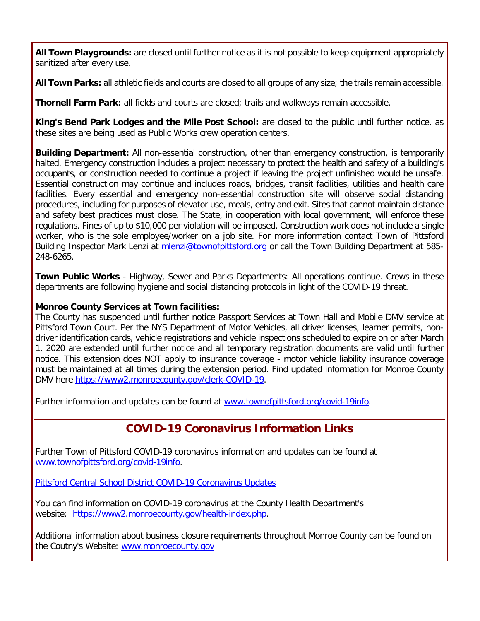**All Town Playgrounds:** are closed until further notice as it is not possible to keep equipment appropriately sanitized after every use.

**All Town Parks:** all athletic fields and courts are closed to all groups of any size; the trails remain accessible.

**Thornell Farm Park:** all fields and courts are closed; trails and walkways remain accessible.

**King's Bend Park Lodges and the Mile Post School:** are closed to the public until further notice, as these sites are being used as Public Works crew operation centers.

**Building Department:** All non-essential construction, other than emergency construction, is temporarily halted. Emergency construction includes a project necessary to protect the health and safety of a building's occupants, or construction needed to continue a project if leaving the project unfinished would be unsafe. Essential construction may continue and includes roads, bridges, transit facilities, utilities and health care facilities. Every essential and emergency non-essential construction site will observe social distancing procedures, including for purposes of elevator use, meals, entry and exit. Sites that cannot maintain distance and safety best practices must close. The State, in cooperation with local government, will enforce these regulations. Fines of up to \$10,000 per violation will be imposed. Construction work does not include a single worker, who is the sole employee/worker on a job site. For more information contact Town of Pittsford Building Inspector Mark Lenzi at [mlenzi@townofpittsford.org](mailto:mlenzi@townofpittsford.org?subject=COVID-19%20Construciton%20Information) or call the Town Building Department at 585-248-6265.

**Town Public Works** - Highway, Sewer and Parks Departments: All operations continue. Crews in these departments are following hygiene and social distancing protocols in light of the COVID-19 threat.

#### **Monroe County Services at Town facilities:**

The County has suspended until further notice Passport Services at Town Hall and Mobile DMV service at Pittsford Town Court. Per the NYS Department of Motor Vehicles, all driver licenses, learner permits, nondriver identification cards, vehicle registrations and vehicle inspections scheduled to expire on or after March 1, 2020 are extended until further notice and all temporary registration documents are valid until further notice. This extension does NOT apply to insurance coverage - motor vehicle liability insurance coverage must be maintained at all times during the extension period. Find updated information for Monroe County DMV here [https://www2.monroecounty.gov/clerk-COVID-19.](http://r20.rs6.net/tn.jsp?f=001mZ2IIZu3K3EXk5NzhhDaSWIoF1AX0go2a-W_l08JqQX5P4HnFsxJ-nkf6loq-8PhXXuCVoORmaLyYHPiUieGJNfo0KJMhEHd9bX65LnuSiv-UmyT9wAjh_biPLAqhrt9fK6PoM99MpcDZ6W_RfQ-4LJTKCCjVcLsO1Yxg_q4o3ASDwwL8_Z8DTTyZDVTP6nrtvHPUK9CjqDgxjQixwLPIhja0ks3r7OoA2s3sN5v8jn7Uplah9xQ-_jb-MbwyC43gTyAP4XP0DxdUWallTazNlt837zC_4mg49WwrZ-5ojJPugEYIM4yZA==&c=twTv6IoZKcDU5Iwr2PGu8MpaRUkh2EJ5zMff2seslHFtd2Juak69dw==&ch=Dlzk_R-1mOpOhdCl94LgTCBRvDV5R0h9nJAQBKvs7bA-cuAnWXUBqQ==)

Further information and updates can be found at [www.townofpittsford.org/covid-19info.](http://r20.rs6.net/tn.jsp?f=001mZ2IIZu3K3EXk5NzhhDaSWIoF1AX0go2a-W_l08JqQX5P4HnFsxJ-h83p4Wp8wFbqKCpVCOfAT8h0H52BzNzR4V_pUIEdrUuqKVo0vazA5-rUbQjEllW4yjlWKPnhEl6f21y0JF1AMoOAyFq-a17THVtYZMC5Je7IQbTRGUzTNC6CuWc_gPQDu0aJ5LrMJDR6REhsQ0_dUEw_IvPNjSaflLwVY9t2NnH4xXGqxMplSGYRyBBb5bqaD7uSwY7mDzh7OybvD0y_oUcn73dojGOW8S1M5ctoksbxH4uNgqwJsSx9kMXps-pqw==&c=twTv6IoZKcDU5Iwr2PGu8MpaRUkh2EJ5zMff2seslHFtd2Juak69dw==&ch=Dlzk_R-1mOpOhdCl94LgTCBRvDV5R0h9nJAQBKvs7bA-cuAnWXUBqQ==)

# **COVID-19 Coronavirus Information Links**

Further Town of Pittsford COVID-19 coronavirus information and updates can be found at [www.townofpittsford.org/covid-19info.](http://r20.rs6.net/tn.jsp?f=001mZ2IIZu3K3EXk5NzhhDaSWIoF1AX0go2a-W_l08JqQX5P4HnFsxJ-h83p4Wp8wFbqKCpVCOfAT8h0H52BzNzR4V_pUIEdrUuqKVo0vazA5-rUbQjEllW4yjlWKPnhEl6f21y0JF1AMoOAyFq-a17THVtYZMC5Je7IQbTRGUzTNC6CuWc_gPQDu0aJ5LrMJDR6REhsQ0_dUEw_IvPNjSaflLwVY9t2NnH4xXGqxMplSGYRyBBb5bqaD7uSwY7mDzh7OybvD0y_oUcn73dojGOW8S1M5ctoksbxH4uNgqwJsSx9kMXps-pqw==&c=twTv6IoZKcDU5Iwr2PGu8MpaRUkh2EJ5zMff2seslHFtd2Juak69dw==&ch=Dlzk_R-1mOpOhdCl94LgTCBRvDV5R0h9nJAQBKvs7bA-cuAnWXUBqQ==)

[Pittsford Central School District COVID-19 Coronavirus Updates](http://r20.rs6.net/tn.jsp?f=001mZ2IIZu3K3EXk5NzhhDaSWIoF1AX0go2a-W_l08JqQX5P4HnFsxJ-i7-uUvLWVfzhmKPkSX7paTLMiOqj2w4iDUnyQ-Qv_ztvIZSCOpBuqinyOp3rUHfgV5F1Wn2Wf16xKp2Wub0eH8HtUtb1PPI7l_oLg_xpd7VtBvuu0NaC80ZyWrEws9ZYrrwAsDrOEu_iuJqj-ybEYTI5rqneha6y3pvEwjifAJP7aBW0w_DNmMmm0xHgDEUGQzGDr3mSQVRuy-pZVsmr0qWXZXpOURoh1BfuNrghymg3Zhcl7mH_ekgpx37lKxbdNkQ4l0ACQ9H&c=twTv6IoZKcDU5Iwr2PGu8MpaRUkh2EJ5zMff2seslHFtd2Juak69dw==&ch=Dlzk_R-1mOpOhdCl94LgTCBRvDV5R0h9nJAQBKvs7bA-cuAnWXUBqQ==)

You can find information on COVID-19 coronavirus at the County Health Department's website: [https://www2.monroecounty.gov/health-index.php.](http://r20.rs6.net/tn.jsp?f=001mZ2IIZu3K3EXk5NzhhDaSWIoF1AX0go2a-W_l08JqQX5P4HnFsxJ-r8xWEBqHtCw7AEzD3mQ69qAidPVhOPUgderbTyaXMzQAUipprCcxDUb8wEkR1c4FDQa0RjPDiWZP0npKoD_G9hqfTM5KbMfXKdQiW8HnLEugV_9GF7aUkHGfwfbbccfvaNSmrS8cnD-lz4c3Q4P653zj7kQmEQrNsvMf3XJ2P_-YuwYrEs98JCyyaS1qrAjndZv6YiUjo_fAnNmKc8qemmFidf3RabXv0IXXtmKGUqTBPI8QnKDEA_7Ql8F02kD3NyNLEZt-Cc3&c=twTv6IoZKcDU5Iwr2PGu8MpaRUkh2EJ5zMff2seslHFtd2Juak69dw==&ch=Dlzk_R-1mOpOhdCl94LgTCBRvDV5R0h9nJAQBKvs7bA-cuAnWXUBqQ==)

Additional information about business closure requirements throughout Monroe County can be found on the Coutny's Website: [www.monroecounty.gov](http://r20.rs6.net/tn.jsp?f=001mZ2IIZu3K3EXk5NzhhDaSWIoF1AX0go2a-W_l08JqQX5P4HnFsxJ-kSvcYwoViKjKzKBooy3kFWWxuWvxXOZ0pSSwfvRjfsaKlADccX8l9lqaH1ILcqyVArNjST6KmTADgfevp7QKbzT2AKa7qraIRaP3ZImNIvgD-hO1e0kvmRMukfA1C7qKLU8wnXfjE9W42yRbXa_CX6f5lOmnfOy-OQeJfzAzzJ-nhjKbT6JXKuzegq8ek4doZplDUjpxX_T-owlLZbaGxi5HEx-e8_H_nhBm4n4cgFS&c=twTv6IoZKcDU5Iwr2PGu8MpaRUkh2EJ5zMff2seslHFtd2Juak69dw==&ch=Dlzk_R-1mOpOhdCl94LgTCBRvDV5R0h9nJAQBKvs7bA-cuAnWXUBqQ==)